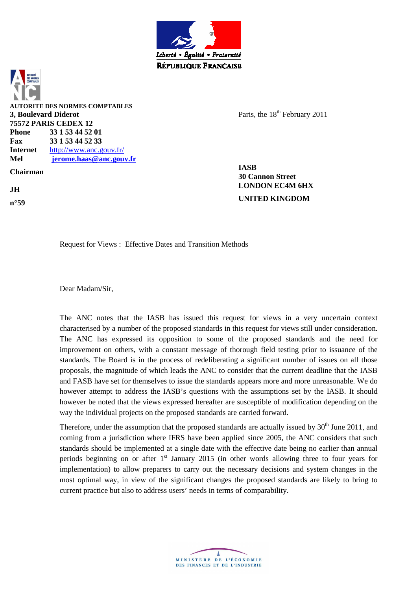



Paris, the 18<sup>th</sup> February 2011

**30 Cannon Street n°59 UNITED KINGDOM**

Request for Views : Effective Dates and Transition Methods

Dear Madam/Sir,

The ANC notes that the IASB has issued this request for views in a very uncertain context characterised by a number of the proposed standards in this request for views still under consideration. The ANC has expressed its opposition to some of the proposed standards and the need for improvement on others, with a constant message of thorough field testing prior to issuance of the standards. The Board is in the process of redeliberating a significant number of issues on all those proposals, the magnitude of which leads the ANC to consider that the current deadline that the IASB and FASB have set for themselves to issue the standards appears more and more unreasonable. We do however attempt to address the IASB's questions with the assumptions set by the IASB. It should however be noted that the views expressed hereafter are susceptible of modification depending on the way the individual projects on the proposed standards are carried forward.

Therefore, under the assumption that the proposed standards are actually issued by 30<sup>th</sup> June 2011, and coming from a jurisdiction where IFRS have been applied since 2005, the ANC considers that such standards should be implemented at a single date with the effective date being no earlier than annual periods beginning on or after  $1<sup>st</sup>$  January 2015 (in other words allowing three to four years for implementation) to allow preparers to carry out the necessary decisions and system changes in the most optimal way, in view of the significant changes the proposed standards are likely to bring to current practice but also to address users' needs in terms of comparability.

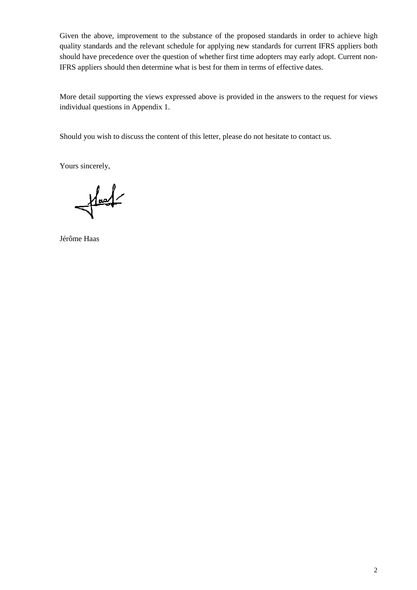Given the above, improvement to the substance of the proposed standards in order to achieve high quality standards and the relevant schedule for applying new standards for current IFRS appliers both should have precedence over the question of whether first time adopters may early adopt. Current non-IFRS appliers should then determine what is best for them in terms of effective dates.

More detail supporting the views expressed above is provided in the answers to the request for views individual questions in Appendix 1.

Should you wish to discuss the content of this letter, please do not hesitate to contact us.

Yours sincerely,

 $\frac{1}{\sqrt{1-\frac{1}{2}}}$ 

Jérôme Haas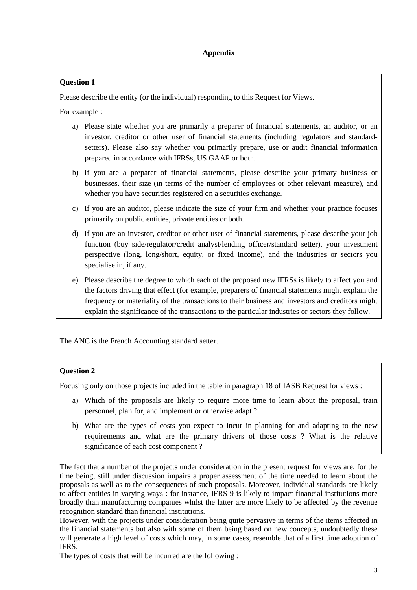Please describe the entity (or the individual) responding to this Request for Views.

For example :

- a) Please state whether you are primarily a preparer of financial statements, an auditor, or an investor, creditor or other user of financial statements (including regulators and standardsetters). Please also say whether you primarily prepare, use or audit financial information prepared in accordance with IFRSs, US GAAP or both.
- b) If you are a preparer of financial statements, please describe your primary business or businesses, their size (in terms of the number of employees or other relevant measure), and whether you have securities registered on a securities exchange.
- c) If you are an auditor, please indicate the size of your firm and whether your practice focuses primarily on public entities, private entities or both.
- d) If you are an investor, creditor or other user of financial statements, please describe your job function (buy side/regulator/credit analyst/lending officer/standard setter), your investment perspective (long, long/short, equity, or fixed income), and the industries or sectors you specialise in, if any.
- e) Please describe the degree to which each of the proposed new IFRSs is likely to affect you and the factors driving that effect (for example, preparers of financial statements might explain the frequency or materiality of the transactions to their business and investors and creditors might explain the significance of the transactions to the particular industries or sectors they follow.

The ANC is the French Accounting standard setter.

## **Question 2**

Focusing only on those projects included in the table in paragraph 18 of IASB Request for views :

- a) Which of the proposals are likely to require more time to learn about the proposal, train personnel, plan for, and implement or otherwise adapt ?
- b) What are the types of costs you expect to incur in planning for and adapting to the new requirements and what are the primary drivers of those costs ? What is the relative significance of each cost component ?

The fact that a number of the projects under consideration in the present request for views are, for the time being, still under discussion impairs a proper assessment of the time needed to learn about the proposals as well as to the consequences of such proposals. Moreover, individual standards are likely to affect entities in varying ways : for instance, IFRS 9 is likely to impact financial institutions more broadly than manufacturing companies whilst the latter are more likely to be affected by the revenue recognition standard than financial institutions.

However, with the projects under consideration being quite pervasive in terms of the items affected in the financial statements but also with some of them being based on new concepts, undoubtedly these will generate a high level of costs which may, in some cases, resemble that of a first time adoption of IFRS.

The types of costs that will be incurred are the following :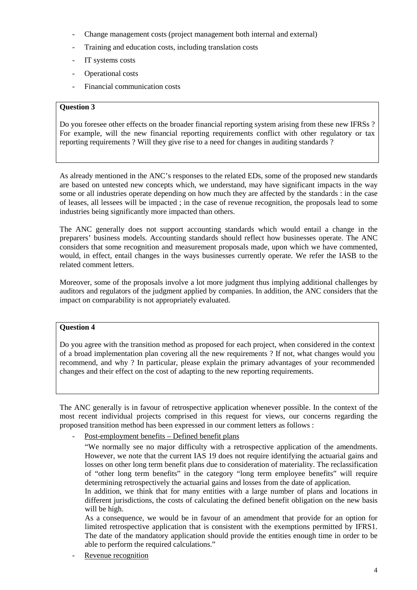- Change management costs (project management both internal and external)
- Training and education costs, including translation costs
- IT systems costs
- Operational costs
- Financial communication costs

Do you foresee other effects on the broader financial reporting system arising from these new IFRSs ? For example, will the new financial reporting requirements conflict with other regulatory or tax reporting requirements ? Will they give rise to a need for changes in auditing standards ?

As already mentioned in the ANC's responses to the related EDs, some of the proposed new standards are based on untested new concepts which, we understand, may have significant impacts in the way some or all industries operate depending on how much they are affected by the standards : in the case of leases, all lessees will be impacted ; in the case of revenue recognition, the proposals lead to some industries being significantly more impacted than others.

The ANC generally does not support accounting standards which would entail a change in the preparers' business models. Accounting standards should reflect how businesses operate. The ANC considers that some recognition and measurement proposals made, upon which we have commented, would, in effect, entail changes in the ways businesses currently operate. We refer the IASB to the related comment letters.

Moreover, some of the proposals involve a lot more judgment thus implying additional challenges by auditors and regulators of the judgment applied by companies. In addition, the ANC considers that the impact on comparability is not appropriately evaluated.

### **Question 4**

Do you agree with the transition method as proposed for each project, when considered in the context of a broad implementation plan covering all the new requirements ? If not, what changes would you recommend, and why ? In particular, please explain the primary advantages of your recommended changes and their effect on the cost of adapting to the new reporting requirements.

The ANC generally is in favour of retrospective application whenever possible. In the context of the most recent individual projects comprised in this request for views, our concerns regarding the proposed transition method has been expressed in our comment letters as follows :

Post-employment benefits – Defined benefit plans

In addition, we think that for many entities with a large number of plans and locations in different jurisdictions, the costs of calculating the defined benefit obligation on the new basis will be high.

As a consequence, we would be in favour of an amendment that provide for an option for limited retrospective application that is consistent with the exemptions permitted by IFRS1. The date of the mandatory application should provide the entities enough time in order to be able to perform the required calculations."

Revenue recognition

<sup>&</sup>quot;We normally see no major difficulty with a retrospective application of the amendments. However, we note that the current IAS 19 does not require identifying the actuarial gains and losses on other long term benefit plans due to consideration of materiality. The reclassification of "other long term benefits" in the category "long term employee benefits" will require determining retrospectively the actuarial gains and losses from the date of application.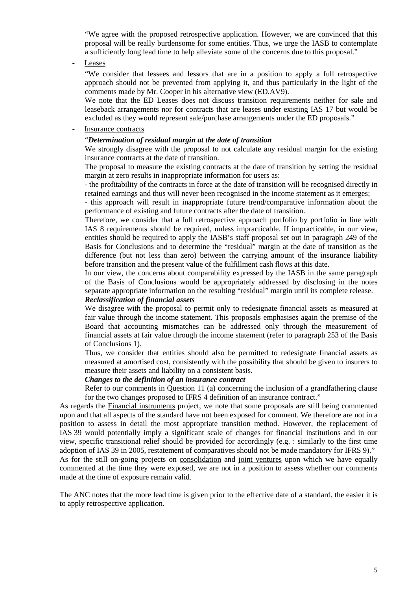"We agree with the proposed retrospective application. However, we are convinced that this proposal will be really burdensome for some entities. Thus, we urge the IASB to contemplate a sufficiently long lead time to help alleviate some of the concerns due to this proposal."

**Leases** 

"We consider that lessees and lessors that are in a position to apply a full retrospective approach should not be prevented from applying it, and thus particularly in the light of the comments made by Mr. Cooper in his alternative view (ED.AV9).

We note that the ED Leases does not discuss transition requirements neither for sale and leaseback arrangements nor for contracts that are leases under existing IAS 17 but would be excluded as they would represent sale/purchase arrangements under the ED proposals."

#### Insurance contracts

### "*Determination of residual margin at the date of transition*

We strongly disagree with the proposal to not calculate any residual margin for the existing insurance contracts at the date of transition.

The proposal to measure the existing contracts at the date of transition by setting the residual margin at zero results in inappropriate information for users as:

- the profitability of the contracts in force at the date of transition will be recognised directly in retained earnings and thus will never been recognised in the income statement as it emerges;

- this approach will result in inappropriate future trend/comparative information about the performance of existing and future contracts after the date of transition.

Therefore, we consider that a full retrospective approach portfolio by portfolio in line with IAS 8 requirements should be required, unless impracticable. If impracticable, in our view, entities should be required to apply the IASB's staff proposal set out in paragraph 249 of the Basis for Conclusions and to determine the "residual" margin at the date of transition as the difference (but not less than zero) between the carrying amount of the insurance liability before transition and the present value of the fulfillment cash flows at this date.

In our view, the concerns about comparability expressed by the IASB in the same paragraph of the Basis of Conclusions would be appropriately addressed by disclosing in the notes separate appropriate information on the resulting "residual" margin until its complete release.

#### *Reclassification of financial assets*

We disagree with the proposal to permit only to redesignate financial assets as measured at fair value through the income statement. This proposals emphasises again the premise of the Board that accounting mismatches can be addressed only through the measurement of financial assets at fair value through the income statement (refer to paragraph 253 of the Basis of Conclusions 1).

Thus, we consider that entities should also be permitted to redesignate financial assets as measured at amortised cost, consistently with the possibility that should be given to insurers to measure their assets and liability on a consistent basis.

#### *Changes to the definition of an insurance contract*

Refer to our comments in Question 11 (a) concerning the inclusion of a grandfathering clause for the two changes proposed to IFRS 4 definition of an insurance contract."

As regards the Financial instruments project, we note that some proposals are still being commented upon and that all aspects of the standard have not been exposed for comment. We therefore are not in a position to assess in detail the most appropriate transition method. However, the replacement of IAS 39 would potentially imply a significant scale of changes for financial institutions and in our view, specific transitional relief should be provided for accordingly (e.g. : similarly to the first time adoption of IAS 39 in 2005, restatement of comparatives should not be made mandatory for IFRS 9)."

As for the still on-going projects on consolidation and joint ventures upon which we have equally commented at the time they were exposed, we are not in a position to assess whether our comments made at the time of exposure remain valid.

The ANC notes that the more lead time is given prior to the effective date of a standard, the easier it is to apply retrospective application.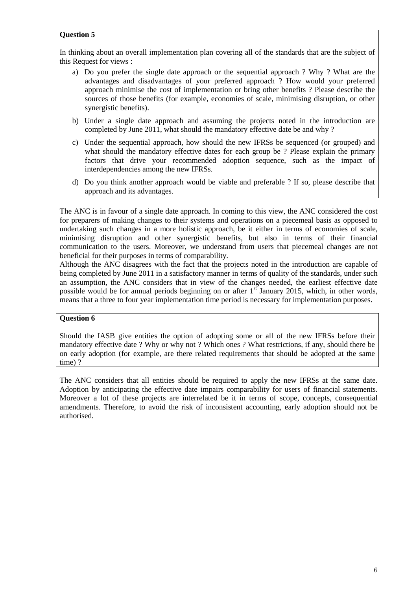In thinking about an overall implementation plan covering all of the standards that are the subject of this Request for views :

- a) Do you prefer the single date approach or the sequential approach ? Why ? What are the advantages and disadvantages of your preferred approach ? How would your preferred approach minimise the cost of implementation or bring other benefits ? Please describe the sources of those benefits (for example, economies of scale, minimising disruption, or other synergistic benefits).
- b) Under a single date approach and assuming the projects noted in the introduction are completed by June 2011, what should the mandatory effective date be and why ?
- c) Under the sequential approach, how should the new IFRSs be sequenced (or grouped) and what should the mandatory effective dates for each group be ? Please explain the primary factors that drive your recommended adoption sequence, such as the impact of interdependencies among the new IFRSs.
- d) Do you think another approach would be viable and preferable ? If so, please describe that approach and its advantages.

The ANC is in favour of a single date approach. In coming to this view, the ANC considered the cost for preparers of making changes to their systems and operations on a piecemeal basis as opposed to undertaking such changes in a more holistic approach, be it either in terms of economies of scale, minimising disruption and other synergistic benefits, but also in terms of their financial communication to the users. Moreover, we understand from users that piecemeal changes are not beneficial for their purposes in terms of comparability.

Although the ANC disagrees with the fact that the projects noted in the introduction are capable of being completed by June 2011 in a satisfactory manner in terms of quality of the standards, under such an assumption, the ANC considers that in view of the changes needed, the earliest effective date possible would be for annual periods beginning on or after  $1<sup>st</sup>$  January 2015, which, in other words, means that a three to four year implementation time period is necessary for implementation purposes.

## **Question 6**

Should the IASB give entities the option of adopting some or all of the new IFRSs before their mandatory effective date ? Why or why not ? Which ones ? What restrictions, if any, should there be on early adoption (for example, are there related requirements that should be adopted at the same time) ?

The ANC considers that all entities should be required to apply the new IFRSs at the same date. Adoption by anticipating the effective date impairs comparability for users of financial statements. Moreover a lot of these projects are interrelated be it in terms of scope, concepts, consequential amendments. Therefore, to avoid the risk of inconsistent accounting, early adoption should not be authorised.